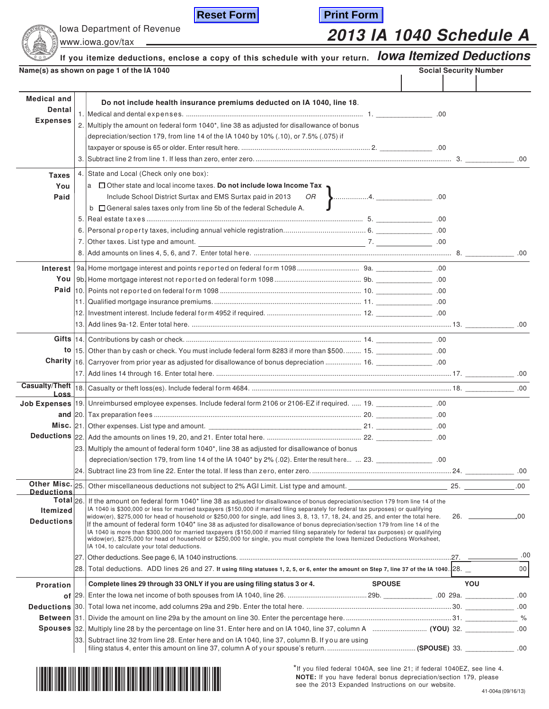|                                                        | <b>Reset Form</b><br><b>Print Form</b><br>Iowa Department of Revenue                                                                                                                                                                                           | <b>2013 IA 1040 Schedule A</b> |     |
|--------------------------------------------------------|----------------------------------------------------------------------------------------------------------------------------------------------------------------------------------------------------------------------------------------------------------------|--------------------------------|-----|
|                                                        | www.iowa.gov/tax                                                                                                                                                                                                                                               |                                |     |
|                                                        | If you itemize deductions, enclose a copy of this schedule with your return. lowa Itemized Deductions                                                                                                                                                          |                                |     |
|                                                        | Name(s) as shown on page 1 of the IA 1040                                                                                                                                                                                                                      | <b>Social Security Number</b>  |     |
| <b>Medical and</b><br><b>Dental</b><br><b>Expenses</b> | Do not include health insurance premiums deducted on IA 1040, line 18.<br>2. Multiply the amount on federal form 1040*, line 38 as adjusted for disallowance of bonus<br>depreciation/section 179, from line 14 of the IA 1040 by 10% (.10), or 7.5% (.075) if |                                |     |
| <b>Taxes</b><br>You<br>Paid                            | 4. State and Local (Check only one box):<br>$ a \Box$ Other state and local income taxes. Do not include lowa Income Tax .<br>Include School District Surtax and EMS Surtax paid in 2013<br>b General sales taxes only from line 5b of the federal Schedule A. | OR <b>J</b> 4.                 |     |
|                                                        |                                                                                                                                                                                                                                                                |                                |     |
|                                                        | to  15. Other than by cash or check. You must include federal form 8283 if more than \$500 15.                                                                                                                                                                 |                                |     |
| Loss                                                   |                                                                                                                                                                                                                                                                |                                |     |
| and $ 20.$                                             | 23. Multiply the amount of federal form 1040*, line 38 as adjusted for disallowance of bonus                                                                                                                                                                   |                                |     |
|                                                        | 00. depreciation/section 179, from line 14 of the IA 1040* by 2% (.02). Enter the result here  23.<br>Other Misc. 25.                                                                                                                                          |                                | .00 |

IA 1040 is more than \$300,000 for married taxpayers (\$150,000 if married filing separately for federal tax purposes) or qualifying<br>| widow(er), \$275,000 for head of household or \$250,000 for single, you must complete the l IA 104, to calculate your total deductions.

|                  |                                                                                                                                            | .00  |
|------------------|--------------------------------------------------------------------------------------------------------------------------------------------|------|
|                  | 28. Total deductions. ADD lines 26 and 27. If using filing statuses 1, 2, 5, or 6, enter the amount on Step 7, line 37 of the IA 1040. 28. | 00   |
| <b>Proration</b> | Complete lines 29 through 33 ONLY if you are using filing status 3 or 4.<br><b>SPOUSE</b>                                                  | YOU  |
|                  |                                                                                                                                            | .00. |
|                  |                                                                                                                                            | .00. |
|                  |                                                                                                                                            | %    |
|                  |                                                                                                                                            | .00  |
|                  | 33. Subtract line 32 from line 28. Enter here and on IA 1040, line 37, column B. If you are using                                          | .00  |



\*If you filed federal 1040A, see line 21; if federal 1040EZ, see line 4. **NOTE:** If you have federal bonus depreciation/section 179, please see the 2013 Expanded Instructions on our website.